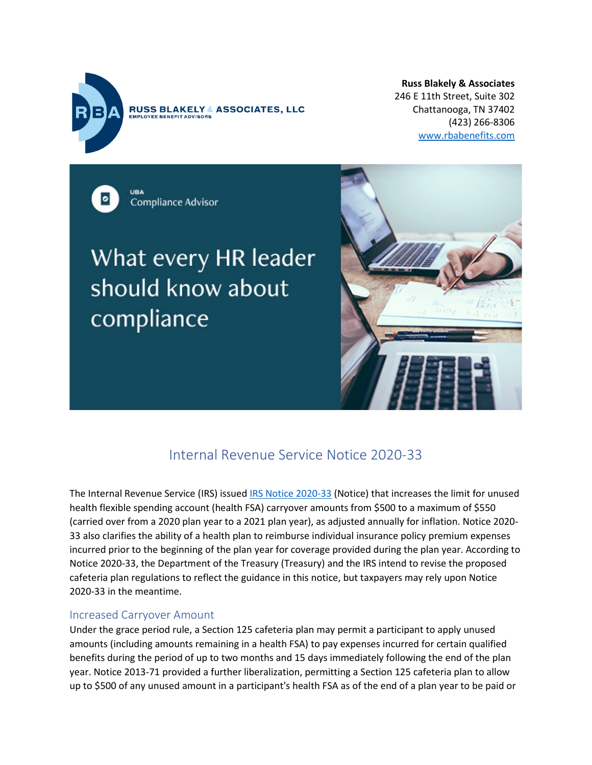

**RUSS BLAKELY & ASSOCIATES, LLC** OYEE BENEFIT ADVISORS

**Russ Blakely & Associates** 246 E 11th Street, Suite 302 Chattanooga, TN 37402 (423) 266-8306 [www.rbabenefits.com](http://www.rbabenefits.com/)

Compliance Advisor

# What every HR leader should know about compliance



## Internal Revenue Service Notice 2020-33

The Internal Revenue Service (IRS) issued [IRS Notice 2020-33](http://send.ubabenefits.com/link.cfm?r=EgaMdCtNmKJdLYijeSKK-A%7E%7E&pe=-Lg4cbP8VHibEPFNBjT5uWjPawUKKVG68Ft4vCWngn6K2EWwOdg_Uk1jiPOG_VGen3ZhfOZjqL0pExcpGzISwA%7E%7E&t=5bzFieP7sLmthsnYCEzb3A%7E%7E) (Notice) that increases the limit for unused health flexible spending account (health FSA) carryover amounts from \$500 to a maximum of \$550 (carried over from a 2020 plan year to a 2021 plan year), as adjusted annually for inflation. Notice 2020- 33 also clarifies the ability of a health plan to reimburse individual insurance policy premium expenses incurred prior to the beginning of the plan year for coverage provided during the plan year. According to Notice 2020-33, the Department of the Treasury (Treasury) and the IRS intend to revise the proposed cafeteria plan regulations to reflect the guidance in this notice, but taxpayers may rely upon Notice 2020-33 in the meantime.

#### Increased Carryover Amount

Under the grace period rule, a Section 125 cafeteria plan may permit a participant to apply unused amounts (including amounts remaining in a health FSA) to pay expenses incurred for certain qualified benefits during the period of up to two months and 15 days immediately following the end of the plan year. Notice 2013-71 provided a further liberalization, permitting a Section 125 cafeteria plan to allow up to \$500 of any unused amount in a participant's health FSA as of the end of a plan year to be paid or